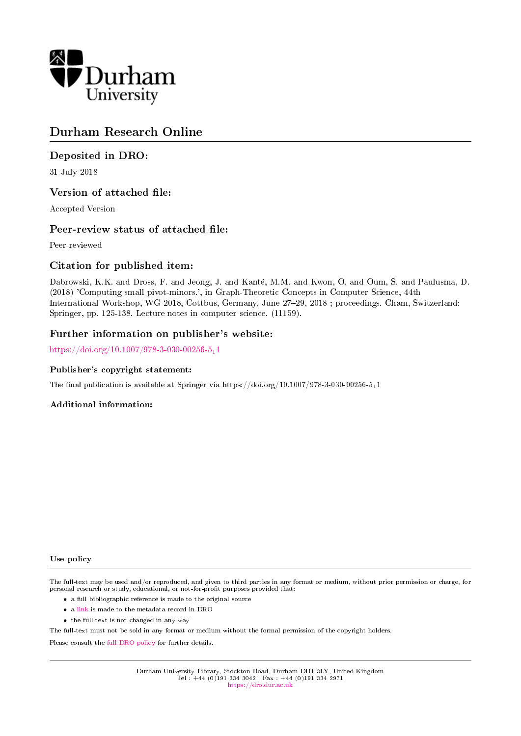

# Durham Research Online

# Deposited in DRO:

31 July 2018

# Version of attached file:

Accepted Version

## Peer-review status of attached file:

Peer-reviewed

# Citation for published item:

Dabrowski, K.K. and Dross, F. and Jeong, J. and Kante, M.M. and Kwon, O. and Oum, S. and Paulusma, D. (2018) 'Computing small pivot-minors.', in Graph-Theoretic Concepts in Computer Science, 44th International Workshop, WG 2018, Cottbus, Germany, June 27-29, 2018 ; proceedings. Cham, Switzerland: Springer, pp. 125-138. Lecture notes in computer science. (11159).

## Further information on publisher's website:

[https://doi.org/10.1007/978-3-030-00256-5](https://doi.org/10.1007/978-3-030-00256-5_11)<sub>1</sub>1

### Publisher's copyright statement:

The final publication is available at Springer via https://doi.org/10.1007/978-3-030-00256-511

### Additional information:

#### Use policy

The full-text may be used and/or reproduced, and given to third parties in any format or medium, without prior permission or charge, for personal research or study, educational, or not-for-profit purposes provided that:

- a full bibliographic reference is made to the original source
- a [link](http://dro.dur.ac.uk/25709/) is made to the metadata record in DRO
- the full-text is not changed in any way

The full-text must not be sold in any format or medium without the formal permission of the copyright holders.

Please consult the [full DRO policy](https://dro.dur.ac.uk/policies/usepolicy.pdf) for further details.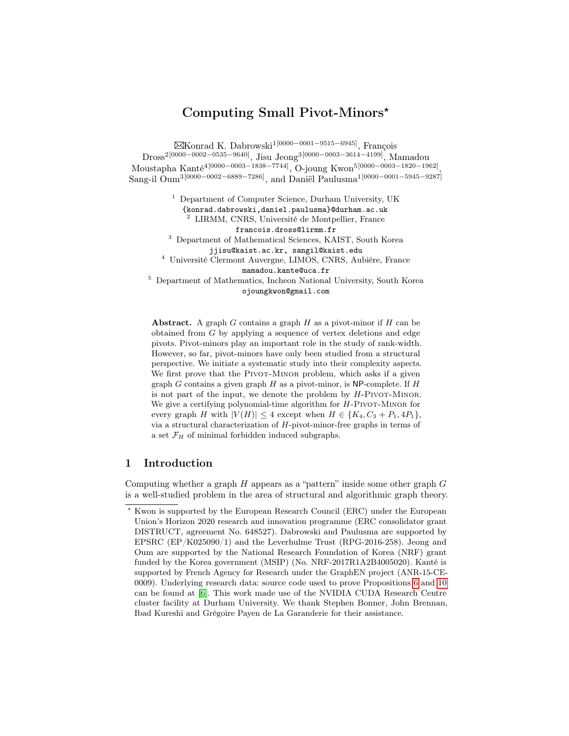# Computing Small Pivot-Minors?

Konrad K. Dabrowski1[0000−0001−9515−6945], François Dross2[0000−0002−0535−9640], Jisu Jeong3[0000−0003−3614−4199], Mamadou Moustapha Kanté4[0000−0003−1838−7744], O-joung Kwon5[0000−0003−1820−1962] , Sang-il Oum<sup>3[0000−0002−6889−7286]</sup>, and Daniël Paulusma<sup>1[0000−0001−5945−9287]</sup>

> <sup>1</sup> Department of Computer Science, Durham University, UK {konrad.dabrowski,daniel.paulusma}@durham.ac.uk <sup>2</sup> LIRMM, CNRS, Université de Montpellier, France

> > francois.dross@lirmm.fr

<sup>3</sup> Department of Mathematical Sciences, KAIST, South Korea jjisu@kaist.ac.kr, sangil@kaist.edu

<sup>4</sup> Université Clermont Auvergne, LIMOS, CNRS, Aubière, France mamadou.kante@uca.fr

<sup>5</sup> Department of Mathematics, Incheon National University, South Korea ojoungkwon@gmail.com

Abstract. A graph  $G$  contains a graph  $H$  as a pivot-minor if  $H$  can be obtained from G by applying a sequence of vertex deletions and edge pivots. Pivot-minors play an important role in the study of rank-width. However, so far, pivot-minors have only been studied from a structural perspective. We initiate a systematic study into their complexity aspects. We first prove that the PIVOT-MINOR problem, which asks if a given graph  $G$  contains a given graph  $H$  as a pivot-minor, is NP-complete. If  $H$ is not part of the input, we denote the problem by  $H$ -PIVOT-MINOR. We give a certifying polynomial-time algorithm for  $H$ -PIVOT-MINOR for every graph H with  $|V(H)| \leq 4$  except when  $H \in \{K_4, C_3 + P_1, 4P_1\},\$ via a structural characterization of  $H$ -pivot-minor-free graphs in terms of a set  $\mathcal{F}_H$  of minimal forbidden induced subgraphs.

### 1 Introduction

Computing whether a graph  $H$  appears as a "pattern" inside some other graph  $G$ is a well-studied problem in the area of structural and algorithmic graph theory.

<sup>?</sup> Kwon is supported by the European Research Council (ERC) under the European Union's Horizon 2020 research and innovation programme (ERC consolidator grant DISTRUCT, agreement No. 648527). Dabrowski and Paulusma are supported by EPSRC  $(EP/K025090/1)$  and the Leverhulme Trust  $(RPG-2016-258)$ . Jeong and Oum are supported by the National Research Foundation of Korea (NRF) grant funded by the Korea government (MSIP) (No. NRF-2017R1A2B4005020). Kanté is supported by French Agency for Research under the GraphEN project (ANR-15-CE-0009). Underlying research data: source code used to prove Propositions [6](#page-8-0) and [10](#page-11-0) can be found at [\[6\]](#page-13-0). This work made use of the NVIDIA CUDA Research Centre cluster facility at Durham University. We thank Stephen Bonner, John Brennan, Ibad Kureshi and Grégoire Payen de La Garanderie for their assistance.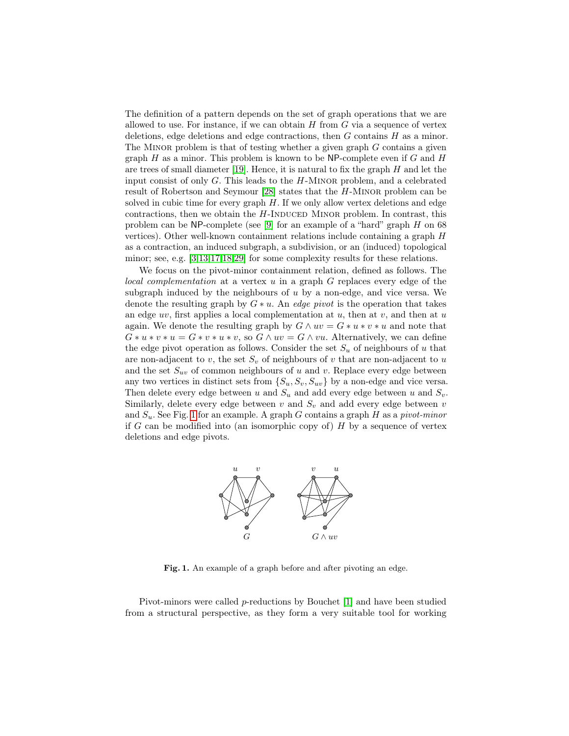The definition of a pattern depends on the set of graph operations that we are allowed to use. For instance, if we can obtain  $H$  from  $G$  via a sequence of vertex deletions, edge deletions and edge contractions, then G contains H as a minor. The MINOR problem is that of testing whether a given graph  $G$  contains a given graph  $H$  as a minor. This problem is known to be NP-complete even if  $G$  and  $H$ are trees of small diameter [\[19\]](#page-13-1). Hence, it is natural to fix the graph  $H$  and let the input consist of only  $G$ . This leads to the  $H$ -MINOR problem, and a celebrated result of Robertson and Seymour [\[28\]](#page-13-2) states that the H-Minor problem can be solved in cubic time for every graph  $H$ . If we only allow vertex deletions and edge contractions, then we obtain the  $H$ -INDUCED MINOR problem. In contrast, this problem can be NP-complete (see [\[9\]](#page-13-3) for an example of a "hard" graph H on 68 vertices). Other well-known containment relations include containing a graph H as a contraction, an induced subgraph, a subdivision, or an (induced) topological minor; see, e.g. [\[3,](#page-12-0)[13,](#page-13-4)[17,](#page-13-5)[18](#page-13-6)[,29\]](#page-13-7) for some complexity results for these relations.

We focus on the pivot-minor containment relation, defined as follows. The local complementation at a vertex  $u$  in a graph  $G$  replaces every edge of the subgraph induced by the neighbours of  $u$  by a non-edge, and vice versa. We denote the resulting graph by  $G * u$ . An *edge pivot* is the operation that takes an edge  $uv$ , first applies a local complementation at  $u$ , then at  $v$ , and then at  $u$ again. We denote the resulting graph by  $G \wedge uv = G * u * v * u$  and note that  $G * u * v * u = G * v * u * v$ , so  $G \wedge uv = G \wedge vu$ . Alternatively, we can define the edge pivot operation as follows. Consider the set  $S_u$  of neighbours of u that are non-adjacent to v, the set  $S_v$  of neighbours of v that are non-adjacent to u and the set  $S_{uv}$  of common neighbours of u and v. Replace every edge between any two vertices in distinct sets from  $\{S_u, S_v, S_{uv}\}$  by a non-edge and vice versa. Then delete every edge between u and  $S_u$  and add every edge between u and  $S_v$ . Similarly, delete every edge between  $v$  and  $S_v$  and add every edge between  $v$ and  $S_u$ . See Fig. [1](#page-2-0) for an example. A graph G contains a graph H as a pivot-minor if G can be modified into (an isomorphic copy of)  $H$  by a sequence of vertex deletions and edge pivots.



<span id="page-2-0"></span>Fig. 1. An example of a graph before and after pivoting an edge.

Pivot-minors were called p-reductions by Bouchet [\[1\]](#page-12-1) and have been studied from a structural perspective, as they form a very suitable tool for working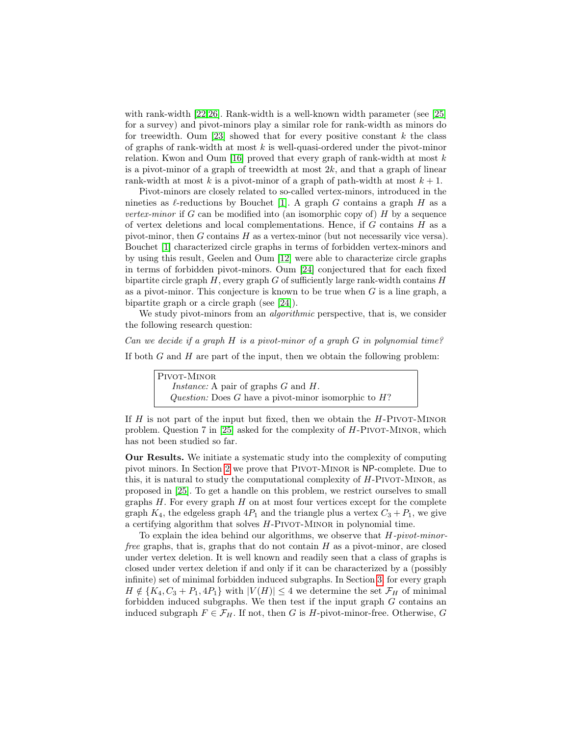with rank-width [\[22,](#page-13-8)[26\]](#page-13-9). Rank-width is a well-known width parameter (see [\[25\]](#page-13-10) for a survey) and pivot-minors play a similar role for rank-width as minors do for treewidth. Oum [\[23\]](#page-13-11) showed that for every positive constant  $k$  the class of graphs of rank-width at most  $k$  is well-quasi-ordered under the pivot-minor relation. Kwon and Oum [\[16\]](#page-13-12) proved that every graph of rank-width at most  $k$ is a pivot-minor of a graph of treewidth at most  $2k$ , and that a graph of linear rank-width at most k is a pivot-minor of a graph of path-width at most  $k + 1$ .

Pivot-minors are closely related to so-called vertex-minors, introduced in the nineties as  $\ell$ -reductions by Bouchet [\[1\]](#page-12-1). A graph G contains a graph H as a vertex-minor if  $G$  can be modified into (an isomorphic copy of)  $H$  by a sequence of vertex deletions and local complementations. Hence, if  $G$  contains  $H$  as a pivot-minor, then  $G$  contains  $H$  as a vertex-minor (but not necessarily vice versa). Bouchet [\[1\]](#page-12-1) characterized circle graphs in terms of forbidden vertex-minors and by using this result, Geelen and Oum [\[12\]](#page-13-13) were able to characterize circle graphs in terms of forbidden pivot-minors. Oum [\[24\]](#page-13-14) conjectured that for each fixed bipartite circle graph  $H$ , every graph  $G$  of sufficiently large rank-width contains  $H$ as a pivot-minor. This conjecture is known to be true when  $G$  is a line graph, a bipartite graph or a circle graph (see [\[24\]](#page-13-14)).

We study pivot-minors from an *algorithmic* perspective, that is, we consider the following research question:

Can we decide if a graph H is a pivot-minor of a graph  $G$  in polynomial time? If both  $G$  and  $H$  are part of the input, then we obtain the following problem:

> PIVOT-MINOR Instance: A pair of graphs G and H. Question: Does G have a pivot-minor isomorphic to  $H$ ?

If  $H$  is not part of the input but fixed, then we obtain the  $H$ -PIVOT-MINOR problem. Question 7 in  $|25|$  asked for the complexity of H-PIVOT-MINOR, which has not been studied so far.

Our Results. We initiate a systematic study into the complexity of computing pivot minors. In Section [2](#page-4-0) we prove that PIVOT-MINOR is NP-complete. Due to this, it is natural to study the computational complexity of  $H$ -PIVOT-MINOR, as proposed in [\[25\]](#page-13-10). To get a handle on this problem, we restrict ourselves to small graphs  $H$ . For every graph  $H$  on at most four vertices except for the complete graph  $K_4$ , the edgeless graph  $4P_1$  and the triangle plus a vertex  $C_3 + P_1$ , we give a certifying algorithm that solves  $H$ -PIVOT-MINOR in polynomial time.

To explain the idea behind our algorithms, we observe that  $H$ -pivot-minorfree graphs, that is, graphs that do not contain  $H$  as a pivot-minor, are closed under vertex deletion. It is well known and readily seen that a class of graphs is closed under vertex deletion if and only if it can be characterized by a (possibly infinite) set of minimal forbidden induced subgraphs. In Section [3,](#page-5-0) for every graph  $H \notin \{K_4, C_3 + P_1, 4P_1\}$  with  $|V(H)| \leq 4$  we determine the set  $\mathcal{F}_H$  of minimal forbidden induced subgraphs. We then test if the input graph  $G$  contains an induced subgraph  $F \in \mathcal{F}_H$ . If not, then G is H-pivot-minor-free. Otherwise, G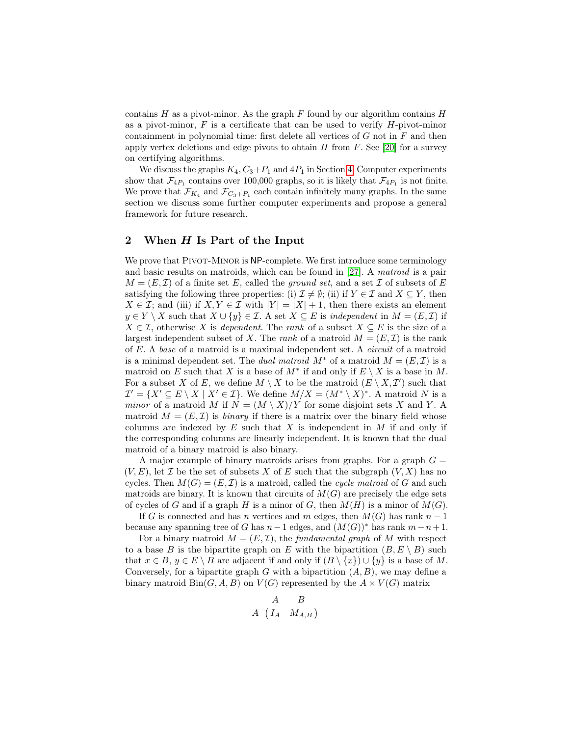contains  $H$  as a pivot-minor. As the graph  $F$  found by our algorithm contains  $H$ as a pivot-minor,  $F$  is a certificate that can be used to verify  $H$ -pivot-minor containment in polynomial time: first delete all vertices of  $G$  not in  $F$  and then apply vertex deletions and edge pivots to obtain  $H$  from  $F$ . See [\[20\]](#page-13-15) for a survey on certifying algorithms.

We discuss the graphs  $K_4, C_3+P_1$  and  $4P_1$  in Section [4.](#page-11-1) Computer experiments show that  $\mathcal{F}_{4P_1}$  contains over 100,000 graphs, so it is likely that  $\mathcal{F}_{4P_1}$  is not finite. We prove that  $\mathcal{F}_{K_4}$  and  $\mathcal{F}_{C_3+P_1}$  each contain infinitely many graphs. In the same section we discuss some further computer experiments and propose a general framework for future research.

### <span id="page-4-0"></span>2 When H Is Part of the Input

We prove that PIVOT-MINOR is NP-complete. We first introduce some terminology and basic results on matroids, which can be found in [\[27\]](#page-13-16). A matroid is a pair  $M = (E, \mathcal{I})$  of a finite set E, called the ground set, and a set  $\mathcal I$  of subsets of E satisfying the following three properties: (i)  $\mathcal{I} \neq \emptyset$ ; (ii) if  $Y \in \mathcal{I}$  and  $X \subseteq Y$ , then  $X \in \mathcal{I}$ ; and (iii) if  $X, Y \in \mathcal{I}$  with  $|Y| = |X| + 1$ , then there exists an element  $y \in Y \setminus X$  such that  $X \cup \{y\} \in \mathcal{I}$ . A set  $X \subseteq E$  is independent in  $M = (E, \mathcal{I})$  if  $X \in \mathcal{I}$ , otherwise X is *dependent*. The *rank* of a subset  $X \subseteq E$  is the size of a largest independent subset of X. The rank of a matroid  $M = (E, \mathcal{I})$  is the rank of E. A base of a matroid is a maximal independent set. A circuit of a matroid is a minimal dependent set. The *dual matroid*  $M^*$  of a matroid  $M = (E, \mathcal{I})$  is a matroid on E such that X is a base of  $M^*$  if and only if  $E \setminus X$  is a base in M. For a subset X of E, we define  $M \setminus X$  to be the matroid  $(E \setminus X, \mathcal{I}')$  such that  $\mathcal{I}' = \{X' \subseteq E \setminus X \mid X' \in \mathcal{I}\}\$ . We define  $M/X = (M^* \setminus X)^*$ . A matroid N is a minor of a matroid M if  $N = (M \setminus X)/Y$  for some disjoint sets X and Y. A matroid  $M = (E, \mathcal{I})$  is binary if there is a matrix over the binary field whose columns are indexed by  $E$  such that  $X$  is independent in  $M$  if and only if the corresponding columns are linearly independent. It is known that the dual matroid of a binary matroid is also binary.

A major example of binary matroids arises from graphs. For a graph  $G =$  $(V, E)$ , let  $\mathcal I$  be the set of subsets X of E such that the subgraph  $(V, X)$  has no cycles. Then  $M(G) = (E, \mathcal{I})$  is a matroid, called the *cycle matroid* of G and such matroids are binary. It is known that circuits of  $M(G)$  are precisely the edge sets of cycles of G and if a graph H is a minor of G, then  $M(H)$  is a minor of  $M(G)$ .

If G is connected and has n vertices and m edges, then  $M(G)$  has rank  $n-1$ because any spanning tree of G has  $n-1$  edges, and  $(M(G))^*$  has rank  $m-n+1$ .

For a binary matroid  $M = (E, \mathcal{I})$ , the fundamental graph of M with respect to a base B is the bipartite graph on E with the bipartition  $(B, E \setminus B)$  such that  $x \in B$ ,  $y \in E \setminus B$  are adjacent if and only if  $(B \setminus \{x\}) \cup \{y\}$  is a base of M. Conversely, for a bipartite graph G with a bipartition  $(A, B)$ , we may define a binary matroid  $\text{Bin}(G, A, B)$  on  $V(G)$  represented by the  $A \times V(G)$  matrix

$$
\begin{array}{cc}\n & A & B \\
A & (I_A & M_{A,B})\n\end{array}
$$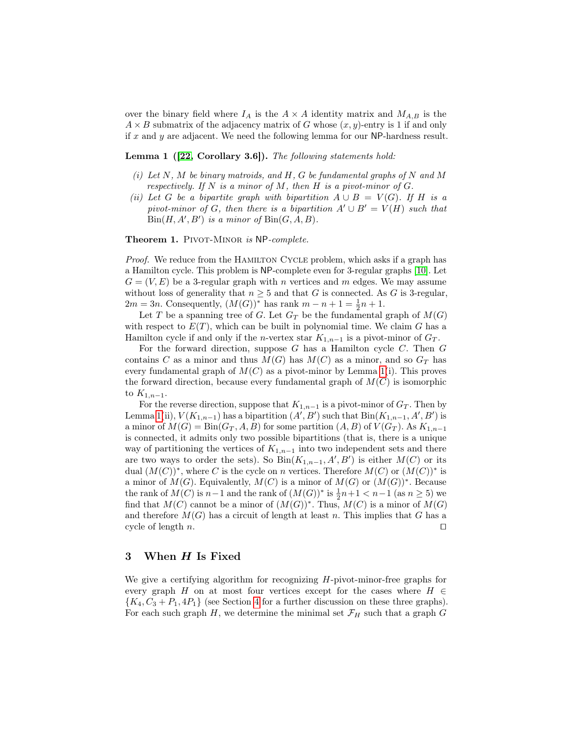over the binary field where  $I_A$  is the  $A \times A$  identity matrix and  $M_{A,B}$  is the  $A \times B$  submatrix of the adjacency matrix of G whose  $(x, y)$ -entry is 1 if and only if x and y are adjacent. We need the following lemma for our  $NP$ -hardness result.

<span id="page-5-1"></span>Lemma 1 ([\[22,](#page-13-8) Corollary 3.6]). The following statements hold:

- (i) Let  $N$ , M be binary matroids, and  $H$ , G be fundamental graphs of N and M respectively. If N is a minor of M, then H is a pivot-minor of  $G$ .
- (ii) Let G be a bipartite graph with bipartition  $A \cup B = V(G)$ . If H is a pivot-minor of G, then there is a bipartition  $A' \cup B' = V(H)$  such that  $Bin(H, A', B')$  is a minor of  $Bin(G, A, B)$ .

Theorem 1. PIVOT-MINOR is NP-complete.

Proof. We reduce from the HAMILTON CYCLE problem, which asks if a graph has a Hamilton cycle. This problem is NP-complete even for 3-regular graphs [\[10\]](#page-13-17). Let  $G = (V, E)$  be a 3-regular graph with n vertices and m edges. We may assume without loss of generality that  $n \geq 5$  and that G is connected. As G is 3-regular,  $2m = 3n$ . Consequently,  $(M(G))^*$  has rank  $m - n + 1 = \frac{1}{2}n + 1$ .

Let T be a spanning tree of G. Let  $G_T$  be the fundamental graph of  $M(G)$ with respect to  $E(T)$ , which can be built in polynomial time. We claim G has a Hamilton cycle if and only if the *n*-vertex star  $K_{1,n-1}$  is a pivot-minor of  $G_T$ .

For the forward direction, suppose  $G$  has a Hamilton cycle  $C$ . Then  $G$ contains C as a minor and thus  $M(G)$  has  $M(C)$  as a minor, and so  $G_T$  has every fundamental graph of  $M(C)$  as a pivot-minor by Lemma [1\(](#page-5-1)i). This proves the forward direction, because every fundamental graph of  $M(C)$  is isomorphic to  $K_{1,n-1}$ .

For the reverse direction, suppose that  $K_{1,n-1}$  is a pivot-minor of  $G_T$ . Then by Lemma [1\(](#page-5-1)ii),  $V(K_{1,n-1})$  has a bipartition  $(A', B')$  such that  $Bin(K_{1,n-1}, A', B')$  is a minor of  $M(G) = \text{Bin}(G_T, A, B)$  for some partition  $(A, B)$  of  $V(G_T)$ . As  $K_{1,n-1}$ is connected, it admits only two possible bipartitions (that is, there is a unique way of partitioning the vertices of  $K_{1,n-1}$  into two independent sets and there are two ways to order the sets). So  $\text{Bin}(K_{1,n-1}, A', B')$  is either  $M(C)$  or its dual  $(M(C))^*$ , where C is the cycle on n vertices. Therefore  $M(C)$  or  $(M(C))^*$  is a minor of  $M(G)$ . Equivalently,  $M(C)$  is a minor of  $M(G)$  or  $(M(G))^*$ . Because the rank of  $M(C)$  is  $n-1$  and the rank of  $(M(G))^*$  is  $\frac{1}{2}n+1 < n-1$  (as  $n \geq 5$ ) we find that  $M(C)$  cannot be a minor of  $(M(G))^*$ . Thus,  $M(C)$  is a minor of  $M(G)$ and therefore  $M(G)$  has a circuit of length at least n. This implies that G has a cycle of length n.  $\Box$ 

#### <span id="page-5-0"></span>3 When H Is Fixed

We give a certifying algorithm for recognizing  $H$ -pivot-minor-free graphs for every graph H on at most four vertices except for the cases where  $H \in$  ${K_4, C_3 + P_1, 4P_1}$  ${K_4, C_3 + P_1, 4P_1}$  ${K_4, C_3 + P_1, 4P_1}$  (see Section 4 for a further discussion on these three graphs). For each such graph  $H$ , we determine the minimal set  $\mathcal{F}_H$  such that a graph  $G$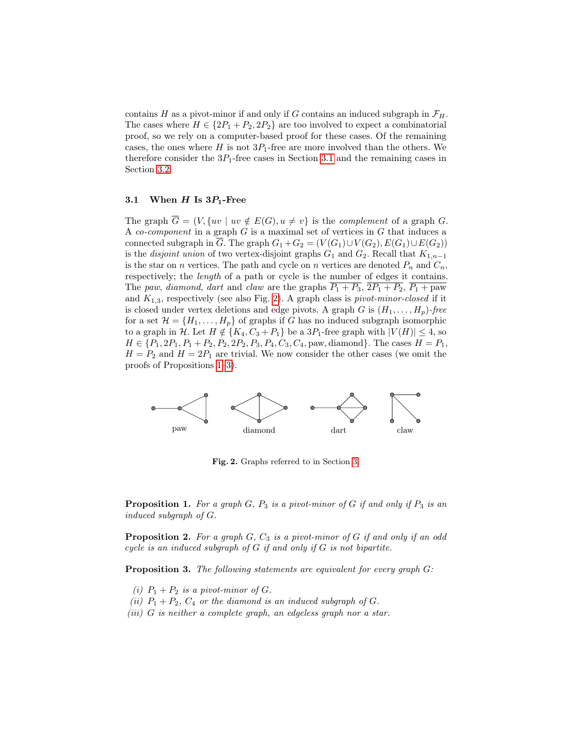contains H as a pivot-minor if and only if G contains an induced subgraph in  $\mathcal{F}_H$ . The cases where  $H \in \{2P_1 + P_2, 2P_2\}$  are too involved to expect a combinatorial proof, so we rely on a computer-based proof for these cases. Of the remaining cases, the ones where  $H$  is not  $3P_1$ -free are more involved than the others. We therefore consider the  $3P_1$ -free cases in Section [3.1](#page-6-0) and the remaining cases in Section [3.2.](#page-8-1)

#### <span id="page-6-0"></span>3.1 When  $H$  Is  $3P_1$ -Free

The graph  $\overline{G} = (V, \{uv \mid uv \notin E(G), u \neq v\})$  is the *complement* of a graph G. A co-component in a graph  $G$  is a maximal set of vertices in  $G$  that induces a connected subgraph in  $\overline{G}$ . The graph  $G_1 + G_2 = (V(G_1) \cup V(G_2), E(G_1) \cup E(G_2))$ is the *disjoint union* of two vertex-disjoint graphs  $G_1$  and  $G_2$ . Recall that  $K_{1,n-1}$ is the star on n vertices. The path and cycle on n vertices are denoted  $P_n$  and  $C_n$ , respectively; the *length* of a path or cycle is the number of edges it contains. The paw, diamond, dart and claw are the graphs  $\overline{P_1 + P_3}$ ,  $\overline{2P_1 + P_2}$ ,  $\overline{P_1 + \text{paw}}$ and  $K_{1,3}$ , respectively (see also Fig. [2\)](#page-6-1). A graph class is *pivot-minor-closed* if it is closed under vertex deletions and edge pivots. A graph G is  $(H_1, \ldots, H_p)$ -free for a set  $\mathcal{H} = \{H_1, \ldots, H_p\}$  of graphs if G has no induced subgraph isomorphic to a graph in H. Let  $H \notin \{K_4, C_3 + P_1\}$  be a  $3P_1$ -free graph with  $|V(H)| \leq 4$ , so  $H \in \{P_1, 2P_1, P_1 + P_2, P_2, 2P_2, P_3, P_4, C_3, C_4, \text{paw}, \text{diamond}\}.$  The cases  $H = P_1$ ,  $H = P_2$  and  $H = 2P_1$  are trivial. We now consider the other cases (we omit the proofs of Propositions [1–](#page-6-2)[3\)](#page-6-3).



<span id="page-6-1"></span>Fig. 2. Graphs referred to in Section [3.](#page-5-0)

<span id="page-6-2"></span>**Proposition 1.** For a graph  $G$ ,  $P_3$  is a pivot-minor of  $G$  if and only if  $P_3$  is an induced subgraph of G.

<span id="page-6-4"></span>**Proposition 2.** For a graph  $G$ ,  $C_3$  is a pivot-minor of  $G$  if and only if an odd cycle is an induced subgraph of  $G$  if and only if  $G$  is not bipartite.

<span id="page-6-3"></span>**Proposition 3.** The following statements are equivalent for every graph  $G$ :

- (i)  $P_1 + P_2$  is a pivot-minor of G.
- (ii)  $P_1 + P_2$ ,  $C_4$  or the diamond is an induced subgraph of G.
- (iii) G is neither a complete graph, an edgeless graph nor a star.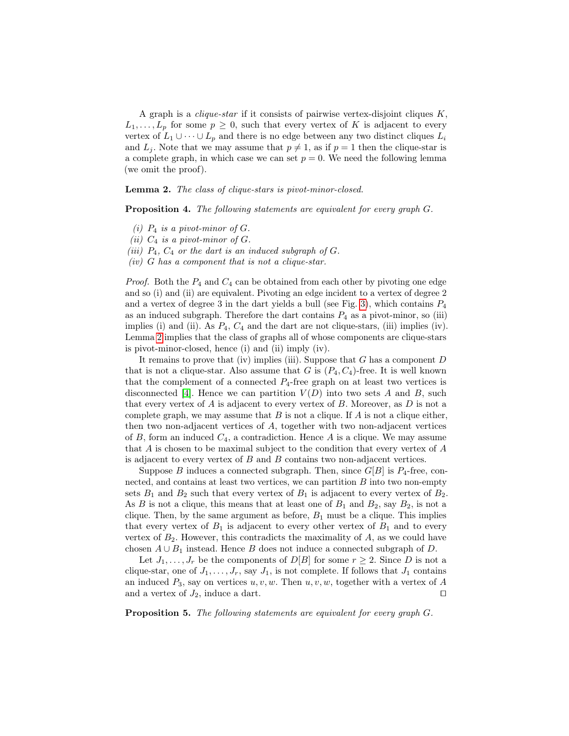A graph is a *clique-star* if it consists of pairwise vertex-disjoint cliques  $K$ ,  $L_1, \ldots, L_p$  for some  $p \geq 0$ , such that every vertex of K is adjacent to every vertex of  $L_1 \cup \cdots \cup L_p$  and there is no edge between any two distinct cliques  $L_i$ and  $L_j$ . Note that we may assume that  $p \neq 1$ , as if  $p = 1$  then the clique-star is a complete graph, in which case we can set  $p = 0$ . We need the following lemma (we omit the proof).

<span id="page-7-0"></span>Lemma 2. The class of clique-stars is pivot-minor-closed.

<span id="page-7-1"></span>Proposition 4. The following statements are equivalent for every graph  $G$ .

- (i)  $P_4$  is a pivot-minor of G.
- (ii)  $C_4$  is a pivot-minor of  $G$ .
- (iii)  $P_4$ ,  $C_4$  or the dart is an induced subgraph of G.
- $(iv)$  G has a component that is not a clique-star.

*Proof.* Both the  $P_4$  and  $C_4$  can be obtained from each other by pivoting one edge and so (i) and (ii) are equivalent. Pivoting an edge incident to a vertex of degree 2 and a vertex of degree 3 in the dart yields a bull (see Fig. [3\)](#page-9-0), which contains  $P_4$ as an induced subgraph. Therefore the dart contains  $P_4$  as a pivot-minor, so (iii) implies (i) and (ii). As  $P_4$ ,  $C_4$  and the dart are not clique-stars, (iii) implies (iv). Lemma [2](#page-7-0) implies that the class of graphs all of whose components are clique-stars is pivot-minor-closed, hence (i) and (ii) imply (iv).

It remains to prove that (iv) implies (iii). Suppose that  $G$  has a component  $D$ that is not a clique-star. Also assume that G is  $(P_4, C_4)$ -free. It is well known that the complement of a connected  $P_4$ -free graph on at least two vertices is disconnected [\[4\]](#page-12-2). Hence we can partition  $V(D)$  into two sets A and B, such that every vertex of  $A$  is adjacent to every vertex of  $B$ . Moreover, as  $D$  is not a complete graph, we may assume that  $B$  is not a clique. If  $A$  is not a clique either, then two non-adjacent vertices of A, together with two non-adjacent vertices of B, form an induced  $C_4$ , a contradiction. Hence A is a clique. We may assume that A is chosen to be maximal subject to the condition that every vertex of A is adjacent to every vertex of  $B$  and  $B$  contains two non-adjacent vertices.

Suppose B induces a connected subgraph. Then, since  $G[B]$  is  $P_4$ -free, connected, and contains at least two vertices, we can partition  $B$  into two non-empty sets  $B_1$  and  $B_2$  such that every vertex of  $B_1$  is adjacent to every vertex of  $B_2$ . As  $B$  is not a clique, this means that at least one of  $B_1$  and  $B_2$ , say  $B_2$ , is not a clique. Then, by the same argument as before,  $B_1$  must be a clique. This implies that every vertex of  $B_1$  is adjacent to every other vertex of  $B_1$  and to every vertex of  $B_2$ . However, this contradicts the maximality of  $A$ , as we could have chosen  $A \cup B_1$  instead. Hence B does not induce a connected subgraph of D.

Let  $J_1, \ldots, J_r$  be the components of  $D[B]$  for some  $r \geq 2$ . Since D is not a clique-star, one of  $J_1, \ldots, J_r$ , say  $J_1$ , is not complete. If follows that  $J_1$  contains an induced  $P_3$ , say on vertices  $u, v, w$ . Then  $u, v, w$ , together with a vertex of A and a vertex of  $J_2$ , induce a dart.  $\square$ 

<span id="page-7-2"></span>Proposition 5. The following statements are equivalent for every graph G.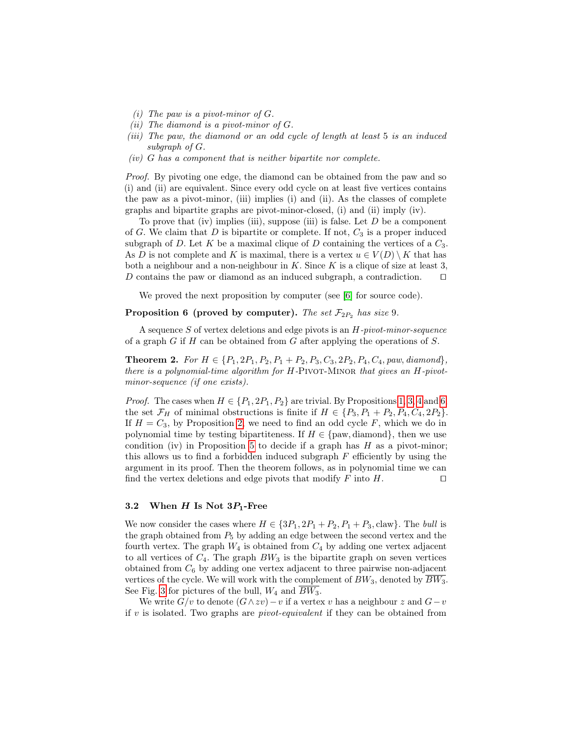- (i) The paw is a pivot-minor of  $G$ .
- (*ii*) The diamond is a pivot-minor of  $G$ .
- (iii) The paw, the diamond or an odd cycle of length at least 5 is an induced subgraph of G.
- $(iv)$  G has a component that is neither bipartite nor complete.

Proof. By pivoting one edge, the diamond can be obtained from the paw and so (i) and (ii) are equivalent. Since every odd cycle on at least five vertices contains the paw as a pivot-minor, (iii) implies (i) and (ii). As the classes of complete graphs and bipartite graphs are pivot-minor-closed, (i) and (ii) imply (iv).

To prove that (iv) implies (iii), suppose (iii) is false. Let  $D$  be a component of G. We claim that D is bipartite or complete. If not,  $C_3$  is a proper induced subgraph of D. Let K be a maximal clique of D containing the vertices of a  $C_3$ . As D is not complete and K is maximal, there is a vertex  $u \in V(D) \setminus K$  that has both a neighbour and a non-neighbour in  $K$ . Since  $K$  is a clique of size at least 3, D contains the paw or diamond as an induced subgraph, a contradiction.  $\square$ 

<span id="page-8-0"></span>We proved the next proposition by computer (see [\[6\]](#page-13-0) for source code).

#### **Proposition 6 (proved by computer).** The set  $\mathcal{F}_{2P_2}$  has size 9.

A sequence S of vertex deletions and edge pivots is an H-pivot-minor-sequence of a graph  $G$  if  $H$  can be obtained from  $G$  after applying the operations of  $S$ .

<span id="page-8-2"></span>**Theorem 2.** For  $H \in \{P_1, 2P_1, P_2, P_1 + P_2, P_3, C_3, 2P_2, P_4, C_4, paw, diamond\}$ there is a polynomial-time algorithm for  $H$ -PIVOT-MINOR that gives an  $H$ -pivotminor-sequence (if one exists).

*Proof.* The cases when  $H \in \{P_1, 2P_1, P_2\}$  are trivial. By Propositions [1,](#page-6-2) [3,](#page-6-3) [4](#page-7-1) and [6,](#page-8-0) the set  $\mathcal{F}_H$  of minimal obstructions is finite if  $H \in \{P_3, P_1 + P_2, P_4, C_4, 2P_2\}.$ If  $H = C_3$ , by Proposition [2,](#page-6-4) we need to find an odd cycle F, which we do in polynomial time by testing bipartiteness. If  $H \in \{paw, diamond\}$ , then we use condition (iv) in Proposition [5](#page-7-2) to decide if a graph has  $H$  as a pivot-minor; this allows us to find a forbidden induced subgraph  $F$  efficiently by using the argument in its proof. Then the theorem follows, as in polynomial time we can find the vertex deletions and edge pivots that modify F into H.  $\Box$ 

#### <span id="page-8-1"></span>3.2 When  $H$  Is Not  $3P_1$ -Free

We now consider the cases where  $H \in \{3P_1, 2P_1 + P_2, P_1 + P_3, \text{claw}\}\.$  The bull is the graph obtained from  $P_5$  by adding an edge between the second vertex and the fourth vertex. The graph  $W_4$  is obtained from  $C_4$  by adding one vertex adjacent to all vertices of  $C_4$ . The graph  $BW_3$  is the bipartite graph on seven vertices obtained from  $C_6$  by adding one vertex adjacent to three pairwise non-adjacent vertices of the cycle. We will work with the complement of  $BW_3$ , denoted by  $\overline{BW_3}$ . See Fig. [3](#page-9-0) for pictures of the bull,  $W_4$  and  $\overline{BW_3}$ .

We write  $G/v$  to denote  $(G \wedge zv) - v$  if a vertex v has a neighbour z and  $G-v$ if v is isolated. Two graphs are *pivot-equivalent* if they can be obtained from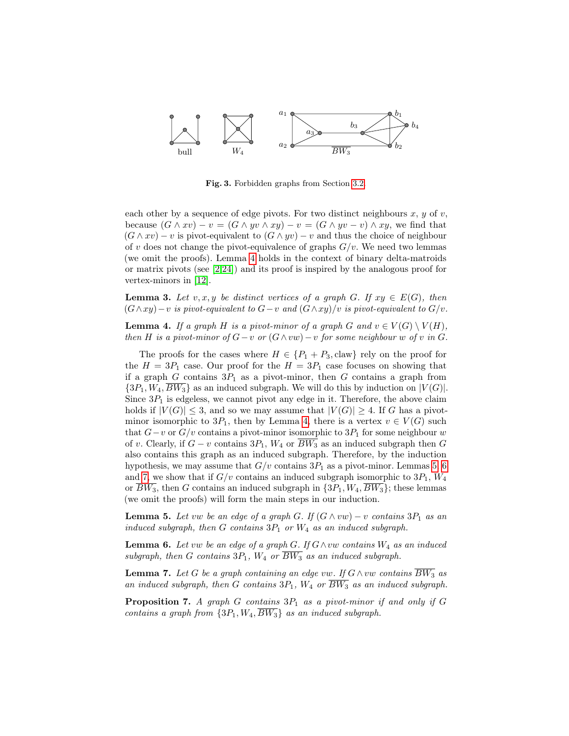

<span id="page-9-0"></span>Fig. 3. Forbidden graphs from Section [3.2.](#page-8-1)

each other by a sequence of edge pivots. For two distinct neighbours  $x, y$  of  $v$ , because  $(G \wedge xv) - v = (G \wedge yv \wedge xy) - v = (G \wedge yv - v) \wedge xy$ , we find that  $(G \wedge xv) - v$  is pivot-equivalent to  $(G \wedge yv) - v$  and thus the choice of neighbour of v does not change the pivot-equivalence of graphs  $G/v$ . We need two lemmas (we omit the proofs). Lemma [4](#page-9-1) holds in the context of binary delta-matroids or matrix pivots (see [\[2](#page-12-3)[,24\]](#page-13-14)) and its proof is inspired by the analogous proof for vertex-minors in [\[12\]](#page-13-13).

**Lemma 3.** Let v, x, y be distinct vertices of a graph G. If  $xy \in E(G)$ , then  $(G \wedge xy) - v$  is pivot-equivalent to  $G - v$  and  $(G \wedge xy)/v$  is pivot-equivalent to  $G/v$ .

<span id="page-9-1"></span>**Lemma 4.** If a graph H is a pivot-minor of a graph G and  $v \in V(G) \setminus V(H)$ , then H is a pivot-minor of  $G-v$  or  $(G \wedge vw)-v$  for some neighbour w of v in G.

The proofs for the cases where  $H \in \{P_1 + P_3, \text{claw}\}\)$  rely on the proof for the  $H = 3P_1$  case. Our proof for the  $H = 3P_1$  case focuses on showing that if a graph G contains  $3P_1$  as a pivot-minor, then G contains a graph from  $\{3P_1, W_4, \overline{BW_3}\}$  as an induced subgraph. We will do this by induction on  $|V(G)|$ . Since  $3P_1$  is edgeless, we cannot pivot any edge in it. Therefore, the above claim holds if  $|V(G)| \leq 3$ , and so we may assume that  $|V(G)| \geq 4$ . If G has a pivotminor isomorphic to  $3P_1$ , then by Lemma [4,](#page-9-1) there is a vertex  $v \in V(G)$  such that  $G-v$  or  $G/v$  contains a pivot-minor isomorphic to  $3P_1$  for some neighbour w of v. Clearly, if  $G - v$  contains  $3P_1$ ,  $W_4$  or  $BW_3$  as an induced subgraph then G also contains this graph as an induced subgraph. Therefore, by the induction hypothesis, we may assume that  $G/v$  contains  $3P_1$  as a pivot-minor. Lemmas [5,](#page-9-2) [6](#page-9-3) and [7,](#page-9-4) we show that if  $G/v$  contains an induced subgraph isomorphic to  $3P_1$ ,  $W_4$ or  $BW_3$ , then G contains an induced subgraph in  $\{3P_1, W_4, BW_3\}$ ; these lemmas (we omit the proofs) will form the main steps in our induction.

<span id="page-9-2"></span>**Lemma 5.** Let vw be an edge of a graph G. If  $(G \wedge vw) - v$  contains  $3P_1$  as an induced subgraph, then G contains  $3P_1$  or  $W_4$  as an induced subgraph.

<span id="page-9-3"></span>**Lemma 6.** Let vw be an edge of a graph G. If  $G \wedge vw$  contains  $W_4$  as an induced subgraph, then G contains  $3P_1$ ,  $W_4$  or  $\overline{BW_3}$  as an induced subgraph.

<span id="page-9-4"></span>**Lemma 7.** Let G be a graph containing an edge vw. If  $G \wedge v$  contains  $\overline{BW_3}$  as an induced subgraph, then G contains  $3P_1$ ,  $W_4$  or  $\overline{BW_3}$  as an induced subgraph.

<span id="page-9-5"></span>**Proposition 7.** A graph  $G$  contains  $3P_1$  as a pivot-minor if and only if  $G$ contains a graph from  $\{3P_1, W_4, \overline{BW_3}\}$  as an induced subgraph.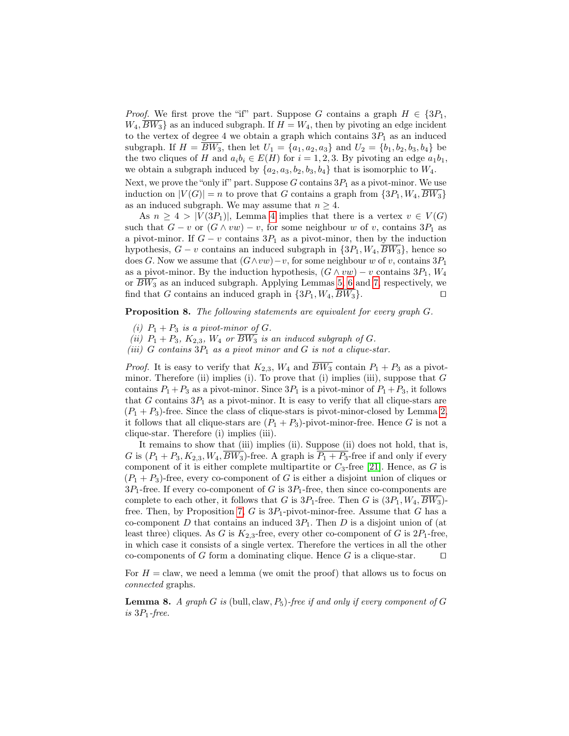*Proof.* We first prove the "if" part. Suppose G contains a graph  $H \in \{3P_1,$  $W_4, BW_3$  as an induced subgraph. If  $H = W_4$ , then by pivoting an edge incident to the vertex of degree 4 we obtain a graph which contains  $3P_1$  as an induced subgraph. If  $H = \overline{BW_3}$ , then let  $U_1 = \{a_1, a_2, a_3\}$  and  $U_2 = \{b_1, b_2, b_3, b_4\}$  be the two cliques of H and  $a_i b_i \in E(H)$  for  $i = 1, 2, 3$ . By pivoting an edge  $a_1 b_1$ , we obtain a subgraph induced by  $\{a_2, a_3, b_2, b_3, b_4\}$  that is isomorphic to  $W_4$ .

Next, we prove the "only if" part. Suppose  $G$  contains  $3P_1$  as a pivot-minor. We use induction on  $|V(G)| = n$  to prove that G contains a graph from  $\{3P_1, W_4, \overline{BW_3}\}$ as an induced subgraph. We may assume that  $n \geq 4$ .

As  $n \geq 4 > |V(3P_1)|$  $n \geq 4 > |V(3P_1)|$  $n \geq 4 > |V(3P_1)|$ , Lemma 4 implies that there is a vertex  $v \in V(G)$ such that  $G - v$  or  $(G \wedge vw) - v$ , for some neighbour w of v, contains  $3P_1$  as a pivot-minor. If  $G - v$  contains  $3P_1$  as a pivot-minor, then by the induction hypothesis,  $G - v$  contains an induced subgraph in  $\{3P_1, W_4, \overline{BW_3}\}\,$  hence so does G. Now we assume that  $(G \wedge vw) - v$ , for some neighbour w of v, contains  $3P_1$ as a pivot-minor. By the induction hypothesis,  $(G \wedge vw) - v$  contains  $3P_1$ ,  $W_4$ or  $\overline{BW_3}$  as an induced subgraph. Applying Lemmas [5,](#page-9-2) [6](#page-9-3) and [7,](#page-9-4) respectively, we find that G contains an induced graph in  $\{3P_1, W_4, \overline{BW_3}\}$ .

Proposition 8. The following statements are equivalent for every graph G.

- (i)  $P_1 + P_3$  is a pivot-minor of G.
- (ii)  $P_1 + P_3$ ,  $K_{2,3}$ ,  $W_4$  or  $\overline{BW_3}$  is an induced subgraph of G.
- (iii) G contains  $3P_1$  as a pivot minor and G is not a clique-star.

*Proof.* It is easy to verify that  $K_{2,3}$ ,  $W_4$  and  $\overline{BW_3}$  contain  $P_1 + P_3$  as a pivotminor. Therefore (ii) implies (i). To prove that (i) implies (iii), suppose that  $G$ contains  $P_1 + P_3$  as a pivot-minor. Since  $3P_1$  is a pivot-minor of  $P_1 + P_3$ , it follows that G contains  $3P_1$  as a pivot-minor. It is easy to verify that all clique-stars are  $(P_1 + P_3)$ -free. Since the class of clique-stars is pivot-minor-closed by Lemma [2,](#page-7-0) it follows that all clique-stars are  $(P_1 + P_3)$ -pivot-minor-free. Hence G is not a clique-star. Therefore (i) implies (iii).

It remains to show that (iii) implies (ii). Suppose (ii) does not hold, that is, G is  $(P_1 + P_3, K_{2,3}, W_4, \overline{BW_3})$ -free. A graph is  $\overline{P_1 + P_3}$ -free if and only if every component of it is either complete multipartite or  $C_3$ -free [\[21\]](#page-13-18). Hence, as G is  $(P_1 + P_3)$ -free, every co-component of G is either a disjoint union of cliques or  $3P_1$ -free. If every co-component of G is  $3P_1$ -free, then since co-components are complete to each other, it follows that G is  $3P_1$ -free. Then G is  $(3P_1, W_4, \overline{BW_3})$ -free. Then, by Proposition [7,](#page-9-5) G is  $3P_1$ -pivot-minor-free. Assume that G has a co-component D that contains an induced  $3P_1$ . Then D is a disjoint union of (at least three) cliques. As G is  $K_{2,3}$ -free, every other co-component of G is  $2P_1$ -free, in which case it consists of a single vertex. Therefore the vertices in all the other co-components of G form a dominating clique. Hence G is a clique-star.  $\square$ 

For  $H = \text{claw}$ , we need a lemma (we omit the proof) that allows us to focus on connected graphs.

<span id="page-10-0"></span>**Lemma 8.** A graph G is (bull, claw,  $P_5$ )-free if and only if every component of G is  $3P_1$ -free.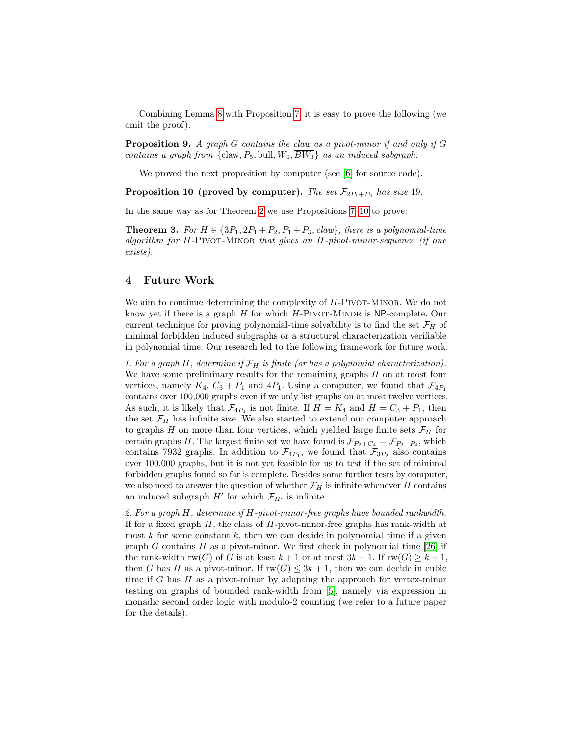Combining Lemma [8](#page-10-0) with Proposition [7,](#page-9-5) it is easy to prove the following (we omit the proof).

**Proposition 9.** A graph G contains the claw as a pivot-minor if and only if  $G$ contains a graph from  $\{claw, P_5, \text{bull}, W_4, \overline{BW_3}\}$  as an induced subgraph.

We proved the next proposition by computer (see [\[6\]](#page-13-0) for source code).

<span id="page-11-0"></span>**Proposition 10 (proved by computer).** The set  $\mathcal{F}_{2P_1+P_2}$  has size 19.

In the same way as for Theorem [2](#page-8-2) we use Propositions [7–](#page-9-5)[10](#page-11-0) to prove:

**Theorem 3.** For  $H \in \{3P_1, 2P_1 + P_2, P_1 + P_3, \text{claw}\}\text{, there is a polynomial-time}$ algorithm for H-Pivot-Minor that gives an H-pivot-minor-sequence (if one exists).

#### <span id="page-11-1"></span>4 Future Work

We aim to continue determining the complexity of  $H$ -PIVOT-MINOR. We do not know yet if there is a graph  $H$  for which  $H$ -PIVOT-MINOR is NP-complete. Our current technique for proving polynomial-time solvability is to find the set  $\mathcal{F}_H$  of minimal forbidden induced subgraphs or a structural characterization verifiable in polynomial time. Our research led to the following framework for future work.

1. For a graph H, determine if  $\mathcal{F}_H$  is finite (or has a polynomial characterization). We have some preliminary results for the remaining graphs  $H$  on at most four vertices, namely  $K_4$ ,  $C_3 + P_1$  and  $4P_1$ . Using a computer, we found that  $\mathcal{F}_{4P_1}$ contains over 100,000 graphs even if we only list graphs on at most twelve vertices. As such, it is likely that  $\mathcal{F}_{4P_1}$  is not finite. If  $H = K_4$  and  $H = C_3 + P_1$ , then the set  $\mathcal{F}_H$  has infinite size. We also started to extend our computer approach to graphs H on more than four vertices, which yielded large finite sets  $\mathcal{F}_H$  for certain graphs H. The largest finite set we have found is  $\mathcal{F}_{P_2+C_4} = \mathcal{F}_{P_2+P_4}$ , which contains 7932 graphs. In addition to  $\mathcal{F}_{4P_1}$ , we found that  $\mathcal{F}_{3P_2}$  also contains over 100,000 graphs, but it is not yet feasible for us to test if the set of minimal forbidden graphs found so far is complete. Besides some further tests by computer, we also need to answer the question of whether  $\mathcal{F}_H$  is infinite whenever H contains an induced subgraph  $H'$  for which  $\mathcal{F}_{H'}$  is infinite.

2. For a graph H, determine if H-pivot-minor-free graphs have bounded rankwidth. If for a fixed graph  $H$ , the class of  $H$ -pivot-minor-free graphs has rank-width at most k for some constant k, then we can decide in polynomial time if a given graph G contains  $H$  as a pivot-minor. We first check in polynomial time [\[26\]](#page-13-9) if the rank-width rw(G) of G is at least  $k + 1$  or at most  $3k + 1$ . If  $rw(G) \geq k + 1$ , then G has H as a pivot-minor. If  $rw(G) \leq 3k + 1$ , then we can decide in cubic time if  $G$  has  $H$  as a pivot-minor by adapting the approach for vertex-minor testing on graphs of bounded rank-width from [\[5\]](#page-13-19), namely via expression in monadic second order logic with modulo-2 counting (we refer to a future paper for the details).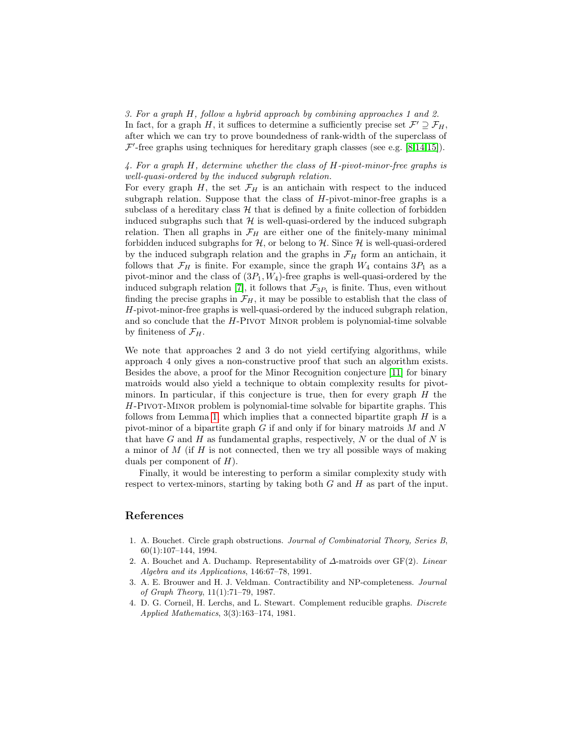3. For a graph H, follow a hybrid approach by combining approaches 1 and 2. In fact, for a graph H, it suffices to determine a sufficiently precise set  $\mathcal{F}' \supseteq \mathcal{F}_H$ , after which we can try to prove boundedness of rank-width of the superclass of  $\mathcal{F}'$ -free graphs using techniques for hereditary graph classes (see e.g. [\[8,](#page-13-20)[14,](#page-13-21)[15\]](#page-13-22)).

#### 4. For a graph H, determine whether the class of H-pivot-minor-free graphs is well-quasi-ordered by the induced subgraph relation.

For every graph H, the set  $\mathcal{F}_H$  is an antichain with respect to the induced subgraph relation. Suppose that the class of  $H$ -pivot-minor-free graphs is a subclass of a hereditary class  $H$  that is defined by a finite collection of forbidden induced subgraphs such that  $\mathcal{H}$  is well-quasi-ordered by the induced subgraph relation. Then all graphs in  $\mathcal{F}_H$  are either one of the finitely-many minimal forbidden induced subgraphs for  $H$ , or belong to  $H$ . Since  $H$  is well-quasi-ordered by the induced subgraph relation and the graphs in  $\mathcal{F}_H$  form an antichain, it follows that  $\mathcal{F}_H$  is finite. For example, since the graph  $W_4$  contains  $3P_1$  as a pivot-minor and the class of  $(3P_1, W_4)$ -free graphs is well-quasi-ordered by the induced subgraph relation [\[7\]](#page-13-23), it follows that  $\mathcal{F}_{3P_1}$  is finite. Thus, even without finding the precise graphs in  $\mathcal{F}_H$ , it may be possible to establish that the class of H-pivot-minor-free graphs is well-quasi-ordered by the induced subgraph relation, and so conclude that the  $H$ -Pivot Minor problem is polynomial-time solvable by finiteness of  $\mathcal{F}_H$ .

We note that approaches 2 and 3 do not yield certifying algorithms, while approach 4 only gives a non-constructive proof that such an algorithm exists. Besides the above, a proof for the Minor Recognition conjecture [\[11\]](#page-13-24) for binary matroids would also yield a technique to obtain complexity results for pivotminors. In particular, if this conjecture is true, then for every graph  $H$  the H-Pivot-Minor problem is polynomial-time solvable for bipartite graphs. This follows from Lemma [1,](#page-5-1) which implies that a connected bipartite graph  $H$  is a pivot-minor of a bipartite graph  $G$  if and only if for binary matroids  $M$  and  $N$ that have  $G$  and  $H$  as fundamental graphs, respectively,  $N$  or the dual of  $N$  is a minor of  $M$  (if  $H$  is not connected, then we try all possible ways of making duals per component of  $H$ ).

Finally, it would be interesting to perform a similar complexity study with respect to vertex-minors, starting by taking both  $G$  and  $H$  as part of the input.

### References

- <span id="page-12-1"></span>1. A. Bouchet. Circle graph obstructions. Journal of Combinatorial Theory, Series B, 60(1):107–144, 1994.
- <span id="page-12-3"></span>2. A. Bouchet and A. Duchamp. Representability of  $\Delta$ -matroids over GF(2). Linear Algebra and its Applications, 146:67–78, 1991.
- <span id="page-12-0"></span>3. A. E. Brouwer and H. J. Veldman. Contractibility and NP-completeness. Journal of Graph Theory, 11(1):71–79, 1987.
- <span id="page-12-2"></span>4. D. G. Corneil, H. Lerchs, and L. Stewart. Complement reducible graphs. Discrete Applied Mathematics, 3(3):163–174, 1981.